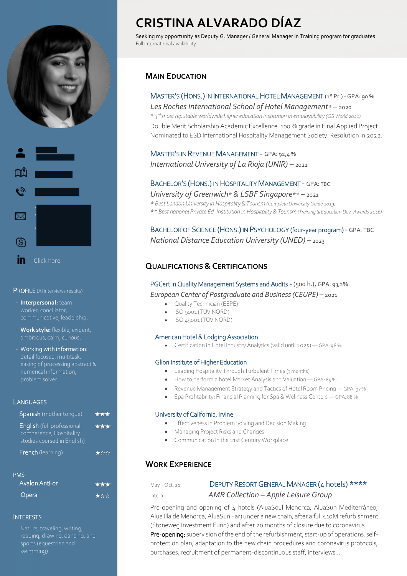



PROFILE (AI interviews results)

- **Interpersonal:** team
- **Work style:** flexible, exigent,
- Working with information: numerical information, problem solver.

#### **LANGUAGES**

| <b>Spanish</b> (mother tonque)                                                              | 大大大 |
|---------------------------------------------------------------------------------------------|-----|
| <b>English</b> (full professional<br>competence; Hospitality<br>studies coursed in English) | *** |
| <b>French</b> (learning)                                                                    |     |
| <b>PMS</b><br>Avalon AntEor                                                                 |     |

| Avalon AntFor | 大大 |
|---------------|----|
| <b>Opera</b>  | 大文 |

#### **INTERESTS**

Nature, traveling, writing, reading, drawing, dancing, and sports (equestrian and swimming)

# **CRISTINA ALVARADO DÍAZ**

Seeking my opportunity as Deputy G. Manager / General Manager in Training program for graduates Full international availability

## **MAIN EDUCATION**

## MASTER'S (HONS.) IN INTERNATIONAL HOTEL MANAGEMENT (1 st Pr.) - GPA: 90 %

*Les Roches International School of Hotel Management\* –* 2020 *\* 3 rd most reputable worldwide higher education institution in employability (QS World 2021)* Double Merit Scholarship Academic Excellence. 100 % grade in Final Applied Project Nominated to ESD International Hospitality Management Society. Resolution in 2022.

## MASTER'S IN REVENUE MANAGEMENT - GPA: 92,4 % *International University of La Rioja (UNIR) –* 2021

## BACHELOR'S (HONS.) IN HOSPITALITY MANAGEMENT - GPA: TBC

*University of Greenwich\* & LSBF Singapore\*\* –* 2021

*\* Best London University in Hospitality & Tourism (Complete University Guide 2019) \*\* Best national Private Ed. Institution in Hospitality & Tourism (Training & Education Dev. Awards 2016)* 

BACHELOR OF SCIENCE (HONS.) IN PSYCHOLOGY (four-year program) - GPA: TBC *National Distance Education University (UNED) –* 2023

## **QUALIFICATIONS &CERTIFICATIONS**

PGCert in Quality Management Systems and Audits - (500 h.), GPA: 93,2% *European Center of Postgraduate and Business (CEUPE) –* 2021

- Quality Technician (EEPE)
- ISO 9001 (TÜV NORD)
- ISO 45001 (TÜV NORD)

#### American Hotel & Lodging Association

Certification in Hotel Industry Analytics (valid until 2025) — GPA: 96 %

#### Glion Institute of Higher Education

- Leading Hospitality Through Turbulent Times (3 months)
- How to perform a hotel Market Analysis and Valuation GPA: 85 %
- Revenue Management Strategy and Tactics of Hotel Room Pricing GPA: 97 %
- Spa Profitability: Financial Planning for Spa & Wellness Centers GPA: 88 %

#### University of California, Irvine

- **•** Effectiveness in Problem Solving and Decision Making
- Managing Project Risks and Changes
- Communication in the 21st Century Workplace

## **WORK EXPERIENCE**

## May – Oct. 21 DEPUTY RESORT GENERAL MANAGER (4 hotels) \*\*\*\* Intern *AMR Collection – Apple Leisure Group*

Pre-opening and opening of 4 hotels (AluaSoul Menorca, AluaSun Mediterráneo, Alua Illa de Menorca, AluaSun Far) under a new chain, after a full €10M refurbishment (Stoneweg Investment Fund) and after 20 months of closure due to coronavirus. Pre-opening: supervision of the end of the refurbishment, start-up of operations, selfprotection plan, adaptation to the new chain procedures and coronavirus protocols, purchases, recruitment of permanent-discontinuous staff, interviews...